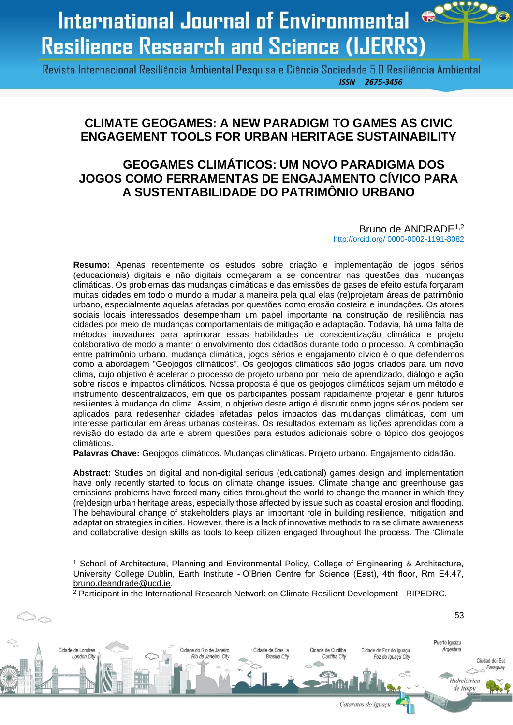Revista Internacional Resiliência Ambiental Pesquisa e Ciência Sociedade 5.0 Resiliência Ambiental *ISSN 2675-3456*

#### **CLIMATE GEOGAMES: A NEW PARADIGM TO GAMES AS CIVIC ENGAGEMENT TOOLS FOR URBAN HERITAGE SUSTAINABILITY**

#### **GEOGAMES CLIMÁTICOS: UM NOVO PARADIGMA DOS JOGOS COMO FERRAMENTAS DE ENGAJAMENTO CÍVICO PARA A SUSTENTABILIDADE DO PATRIMÔNIO URBANO**

Bruno de ANDRADE<sup>1,2</sup> http://orcid.org/ 0000-0002-1191-8082

**Resumo:** Apenas recentemente os estudos sobre criação e implementação de jogos sérios (educacionais) digitais e não digitais começaram a se concentrar nas questões das mudanças climáticas. Os problemas das mudanças climáticas e das emissões de gases de efeito estufa forçaram muitas cidades em todo o mundo a mudar a maneira pela qual elas (re)projetam áreas de patrimônio urbano, especialmente aquelas afetadas por questões como erosão costeira e inundações. Os atores sociais locais interessados desempenham um papel importante na construção de resiliência nas cidades por meio de mudanças comportamentais de mitigação e adaptação. Todavia, há uma falta de métodos inovadores para aprimorar essas habilidades de conscientização climática e projeto colaborativo de modo a manter o envolvimento dos cidadãos durante todo o processo. A combinação entre patrimônio urbano, mudança climática, jogos sérios e engajamento cívico é o que defendemos como a abordagem "Geojogos climáticos". Os geojogos climáticos são jogos criados para um novo clima, cujo objetivo é acelerar o processo de projeto urbano por meio de aprendizado, diálogo e ação sobre riscos e impactos climáticos. Nossa proposta é que os geojogos climáticos sejam um método e instrumento descentralizados, em que os participantes possam rapidamente projetar e gerir futuros resilientes à mudança do clima. Assim, o objetivo deste artigo é discutir como jogos sérios podem ser aplicados para redesenhar cidades afetadas pelos impactos das mudanças climáticas, com um interesse particular em áreas urbanas costeiras. Os resultados externam as lições aprendidas com a revisão do estado da arte e abrem questões para estudos adicionais sobre o tópico dos geojogos climáticos.

**Palavras Chave:** Geojogos climáticos. Mudanças climáticas. Projeto urbano. Engajamento cidadão.

**Abstract:** Studies on digital and non-digital serious (educational) games design and implementation have only recently started to focus on climate change issues. Climate change and greenhouse gas emissions problems have forced many cities throughout the world to change the manner in which they (re)design urban heritage areas, especially those affected by issue such as coastal erosion and flooding. The behavioural change of stakeholders plays an important role in building resilience, mitigation and adaptation strategies in cities. However, there is a lack of innovative methods to raise climate awareness and collaborative design skills as tools to keep citizen engaged throughout the process. The 'Climate

<sup>2</sup> Participant in the International Research Network on Climate Resilient Development - RIPEDRC.



<sup>&</sup>lt;sup>1</sup> School of Architecture, Planning and Environmental Policy, College of Engineering & Architecture, University College Dublin, Earth Institute - O'Brien Centre for Science (East), 4th floor, Rm E4.47, [bruno.deandrade@ucd.ie.](mailto:bruno.deandrade@ucd.ie)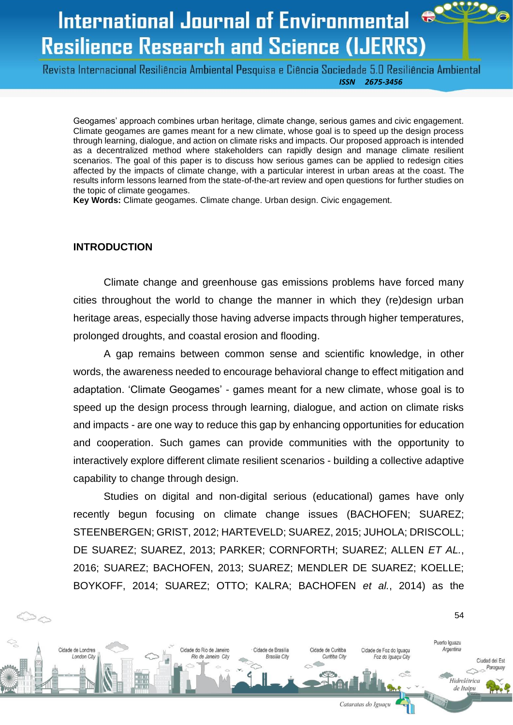Revista Internacional Resiliência Ambiental Pesquisa e Ciência Sociedade 5.0 Resiliência Ambiental *ISSN 2675-3456*

Geogames' approach combines urban heritage, climate change, serious games and civic engagement. Climate geogames are games meant for a new climate, whose goal is to speed up the design process through learning, dialogue, and action on climate risks and impacts. Our proposed approach is intended as a decentralized method where stakeholders can rapidly design and manage climate resilient scenarios. The goal of this paper is to discuss how serious games can be applied to redesign cities affected by the impacts of climate change, with a particular interest in urban areas at the coast. The results inform lessons learned from the state-of-the-art review and open questions for further studies on the topic of climate geogames.

**Key Words:** Climate geogames. Climate change. Urban design. Civic engagement.

#### **INTRODUCTION**

Climate change and greenhouse gas emissions problems have forced many cities throughout the world to change the manner in which they (re)design urban heritage areas, especially those having adverse impacts through higher temperatures, prolonged droughts, and coastal erosion and flooding.

A gap remains between common sense and scientific knowledge, in other words, the awareness needed to encourage behavioral change to effect mitigation and adaptation. 'Climate Geogames' - games meant for a new climate, whose goal is to speed up the design process through learning, dialogue, and action on climate risks and impacts - are one way to reduce this gap by enhancing opportunities for education and cooperation. Such games can provide communities with the opportunity to interactively explore different climate resilient scenarios - building a collective adaptive capability to change through design.

Studies on digital and non-digital serious (educational) games have only recently begun focusing on climate change issues (BACHOFEN; SUAREZ; STEENBERGEN; GRIST, 2012; HARTEVELD; SUAREZ, 2015; JUHOLA; DRISCOLL; DE SUAREZ; SUAREZ, 2013; PARKER; CORNFORTH; SUAREZ; ALLEN *ET AL.*, 2016; SUAREZ; BACHOFEN, 2013; SUAREZ; MENDLER DE SUAREZ; KOELLE; BOYKOFF, 2014; SUAREZ; OTTO; KALRA; BACHOFEN *et al.*, 2014) as the

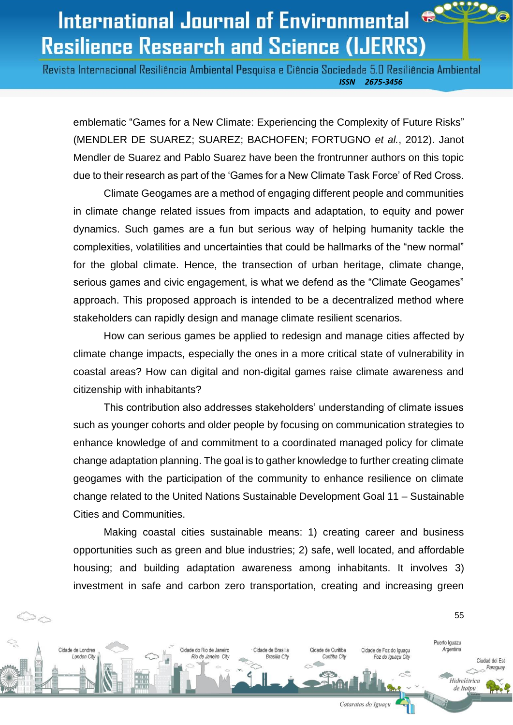Revista Internacional Resiliência Ambiental Pesquisa e Ciência Sociedade 5.0 Resiliência Ambiental *ISSN 2675-3456*

emblematic "Games for a New Climate: Experiencing the Complexity of Future Risks" (MENDLER DE SUAREZ; SUAREZ; BACHOFEN; FORTUGNO *et al.*, 2012). Janot Mendler de Suarez and Pablo Suarez have been the frontrunner authors on this topic due to their research as part of the 'Games for a New Climate Task Force' of Red Cross.

Climate Geogames are a method of engaging different people and communities in climate change related issues from impacts and adaptation, to equity and power dynamics. Such games are a fun but serious way of helping humanity tackle the complexities, volatilities and uncertainties that could be hallmarks of the "new normal" for the global climate. Hence, the transection of urban heritage, climate change, serious games and civic engagement, is what we defend as the "Climate Geogames" approach. This proposed approach is intended to be a decentralized method where stakeholders can rapidly design and manage climate resilient scenarios.

How can serious games be applied to redesign and manage cities affected by climate change impacts, especially the ones in a more critical state of vulnerability in coastal areas? How can digital and non-digital games raise climate awareness and citizenship with inhabitants?

This contribution also addresses stakeholders' understanding of climate issues such as younger cohorts and older people by focusing on communication strategies to enhance knowledge of and commitment to a coordinated managed policy for climate change adaptation planning. The goal is to gather knowledge to further creating climate geogames with the participation of the community to enhance resilience on climate change related to the United Nations Sustainable Development Goal 11 – Sustainable Cities and Communities.

Making coastal cities sustainable means: 1) creating career and business opportunities such as green and blue industries; 2) safe, well located, and affordable housing; and building adaptation awareness among inhabitants. It involves 3) investment in safe and carbon zero transportation, creating and increasing green

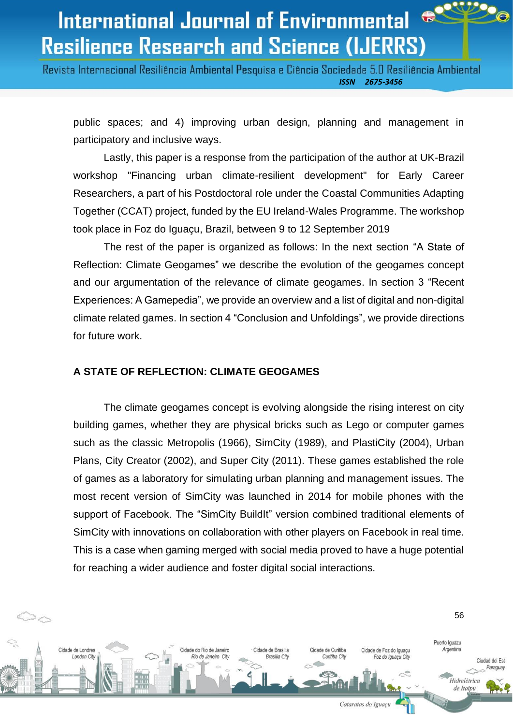

Revista Internacional Resiliência Ambiental Pesquisa e Ciência Sociedade 5.0 Resiliência Ambiental *ISSN 2675-3456*

public spaces; and 4) improving urban design, planning and management in participatory and inclusive ways.

Lastly, this paper is a response from the participation of the author at UK-Brazil workshop "Financing urban climate-resilient development" for Early Career Researchers, a part of his Postdoctoral role under the Coastal Communities Adapting Together (CCAT) project, funded by the EU Ireland-Wales Programme. The workshop took place in Foz do Iguaçu, Brazil, between 9 to 12 September 2019

The rest of the paper is organized as follows: In the next section "A State of Reflection: Climate Geogames" we describe the evolution of the geogames concept and our argumentation of the relevance of climate geogames. In section 3 "Recent Experiences: A Gamepedia", we provide an overview and a list of digital and non-digital climate related games. In section 4 "Conclusion and Unfoldings", we provide directions for future work.

#### **A STATE OF REFLECTION: CLIMATE GEOGAMES**

The climate geogames concept is evolving alongside the rising interest on city building games, whether they are physical bricks such as Lego or computer games such as the classic Metropolis (1966), SimCity (1989), and PlastiCity (2004), Urban Plans, City Creator (2002), and Super City (2011). These games established the role of games as a laboratory for simulating urban planning and management issues. The most recent version of SimCity was launched in 2014 for mobile phones with the support of Facebook. The "SimCity BuildIt" version combined traditional elements of SimCity with innovations on collaboration with other players on Facebook in real time. This is a case when gaming merged with social media proved to have a huge potential for reaching a wider audience and foster digital social interactions.

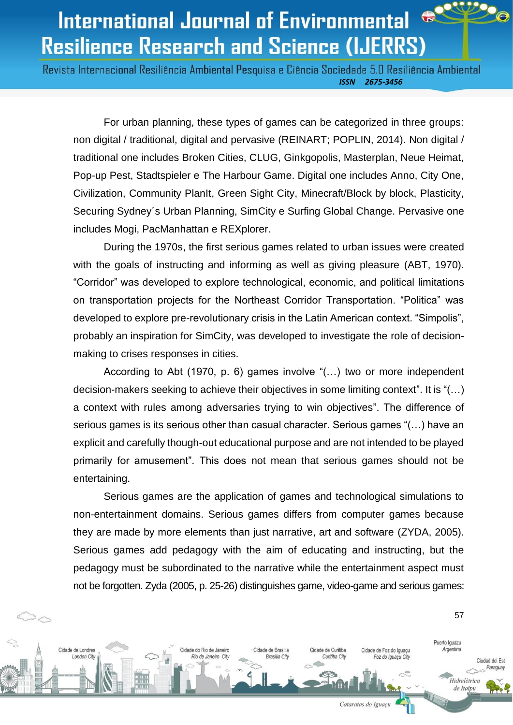Revista Internacional Resiliência Ambiental Pesquisa e Ciência Sociedade 5.0 Resiliência Ambiental *ISSN 2675-3456*

For urban planning, these types of games can be categorized in three groups: non digital / traditional, digital and pervasive (REINART; POPLIN, 2014). Non digital / traditional one includes Broken Cities, CLUG, Ginkgopolis, Masterplan, Neue Heimat, Pop-up Pest, Stadtspieler e The Harbour Game. Digital one includes Anno, City One, Civilization, Community PlanIt, Green Sight City, Minecraft/Block by block, Plasticity, Securing Sydney´s Urban Planning, SimCity e Surfing Global Change. Pervasive one includes Mogi, PacManhattan e REXplorer.

During the 1970s, the first serious games related to urban issues were created with the goals of instructing and informing as well as giving pleasure (ABT, 1970). "Corridor" was developed to explore technological, economic, and political limitations on transportation projects for the Northeast Corridor Transportation. "Politica" was developed to explore pre-revolutionary crisis in the Latin American context. "Simpolis", probably an inspiration for SimCity, was developed to investigate the role of decisionmaking to crises responses in cities.

According to Abt (1970, p. 6) games involve "(…) two or more independent decision-makers seeking to achieve their objectives in some limiting context". It is "(…) a context with rules among adversaries trying to win objectives". The difference of serious games is its serious other than casual character. Serious games "(…) have an explicit and carefully though-out educational purpose and are not intended to be played primarily for amusement". This does not mean that serious games should not be entertaining.

Serious games are the application of games and technological simulations to non-entertainment domains. Serious games differs from computer games because they are made by more elements than just narrative, art and software (ZYDA, 2005). Serious games add pedagogy with the aim of educating and instructing, but the pedagogy must be subordinated to the narrative while the entertainment aspect must not be forgotten. Zyda (2005, p. 25-26) distinguishes game, video-game and serious games:

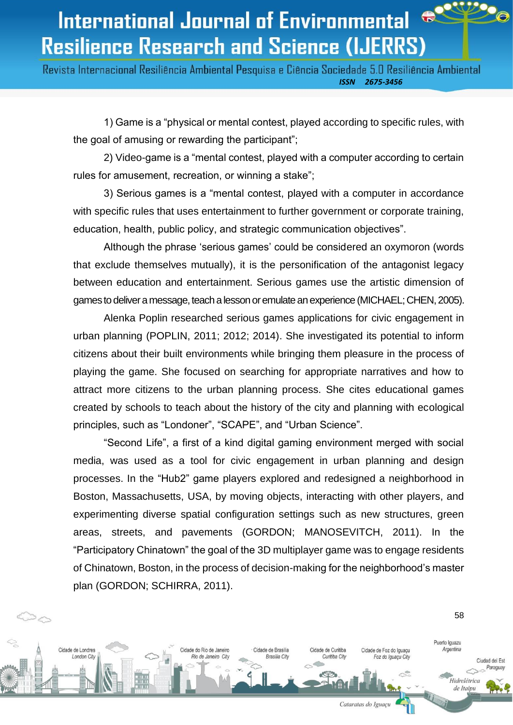Revista Internacional Resiliência Ambiental Pesquisa e Ciência Sociedade 5.0 Resiliência Ambiental *ISSN 2675-3456*

1) Game is a "physical or mental contest, played according to specific rules, with the goal of amusing or rewarding the participant";

2) Video-game is a "mental contest, played with a computer according to certain rules for amusement, recreation, or winning a stake";

3) Serious games is a "mental contest, played with a computer in accordance with specific rules that uses entertainment to further government or corporate training, education, health, public policy, and strategic communication objectives".

Although the phrase 'serious games' could be considered an oxymoron (words that exclude themselves mutually), it is the personification of the antagonist legacy between education and entertainment. Serious games use the artistic dimension of games to deliver a message, teach a lesson or emulate an experience (MICHAEL; CHEN, 2005).

Alenka Poplin researched serious games applications for civic engagement in urban planning (POPLIN, 2011; 2012; 2014). She investigated its potential to inform citizens about their built environments while bringing them pleasure in the process of playing the game. She focused on searching for appropriate narratives and how to attract more citizens to the urban planning process. She cites educational games created by schools to teach about the history of the city and planning with ecological principles, such as "Londoner", "SCAPE", and "Urban Science".

"Second Life", a first of a kind digital gaming environment merged with social media, was used as a tool for civic engagement in urban planning and design processes. In the "Hub2" game players explored and redesigned a neighborhood in Boston, Massachusetts, USA, by moving objects, interacting with other players, and experimenting diverse spatial configuration settings such as new structures, green areas, streets, and pavements (GORDON; MANOSEVITCH, 2011). In the "Participatory Chinatown" the goal of the 3D multiplayer game was to engage residents of Chinatown, Boston, in the process of decision-making for the neighborhood's master plan (GORDON; SCHIRRA, 2011).

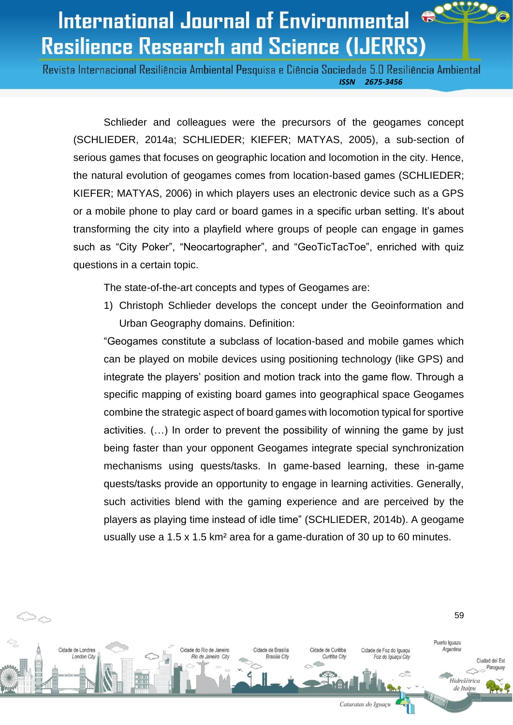Revista Internacional Resiliência Ambiental Pesquisa e Ciência Sociedade 5.0 Resiliência Ambiental *ISSN 2675-3456*

Schlieder and colleagues were the precursors of the geogames concept (SCHLIEDER, 2014a; SCHLIEDER; KIEFER; MATYAS, 2005), a sub-section of serious games that focuses on geographic location and locomotion in the city. Hence, the natural evolution of geogames comes from location-based games (SCHLIEDER; KIEFER; MATYAS, 2006) in which players uses an electronic device such as a GPS or a mobile phone to play card or board games in a specific urban setting. It's about transforming the city into a playfield where groups of people can engage in games such as "City Poker", "Neocartographer", and "GeoTicTacToe", enriched with quiz questions in a certain topic.

The state-of-the-art concepts and types of Geogames are:

1) Christoph Schlieder develops the concept under the Geoinformation and Urban Geography domains. Definition:

"Geogames constitute a subclass of location-based and mobile games which can be played on mobile devices using positioning technology (like GPS) and integrate the players' position and motion track into the game flow. Through a specific mapping of existing board games into geographical space Geogames combine the strategic aspect of board games with locomotion typical for sportive activities. (…) In order to prevent the possibility of winning the game by just being faster than your opponent Geogames integrate special synchronization mechanisms using quests/tasks. In game-based learning, these in-game quests/tasks provide an opportunity to engage in learning activities. Generally, such activities blend with the gaming experience and are perceived by the players as playing time instead of idle time" (SCHLIEDER, 2014b). A geogame usually use a 1.5 x 1.5 km² area for a game-duration of 30 up to 60 minutes.

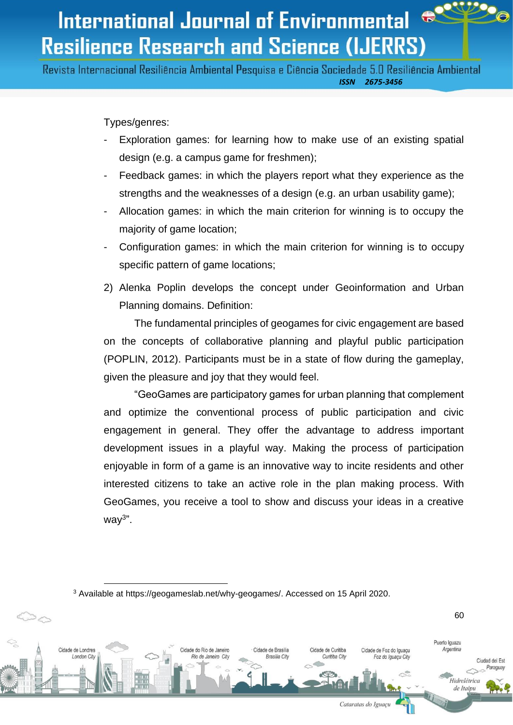Revista Internacional Resiliência Ambiental Pesquisa e Ciência Sociedade 5.0 Resiliência Ambiental *ISSN 2675-3456*

Types/genres:

- Exploration games: for learning how to make use of an existing spatial design (e.g. a campus game for freshmen);
- Feedback games: in which the players report what they experience as the strengths and the weaknesses of a design (e.g. an urban usability game);
- Allocation games: in which the main criterion for winning is to occupy the majority of game location;
- Configuration games: in which the main criterion for winning is to occupy specific pattern of game locations;
- 2) Alenka Poplin develops the concept under Geoinformation and Urban Planning domains. Definition:

The fundamental principles of geogames for civic engagement are based on the concepts of collaborative planning and playful public participation (POPLIN, 2012). Participants must be in a state of flow during the gameplay, given the pleasure and joy that they would feel.

"GeoGames are participatory games for urban planning that complement and optimize the conventional process of public participation and civic engagement in general. They offer the advantage to address important development issues in a playful way. Making the process of participation enjoyable in form of a game is an innovative way to incite residents and other interested citizens to take an active role in the plan making process. With GeoGames, you receive a tool to show and discuss your ideas in a creative way<sup>3</sup>".

<sup>3</sup> Available at [https://geogameslab.net/why-geogames/.](https://geogameslab.net/why-geogames/) Accessed on 15 April 2020.

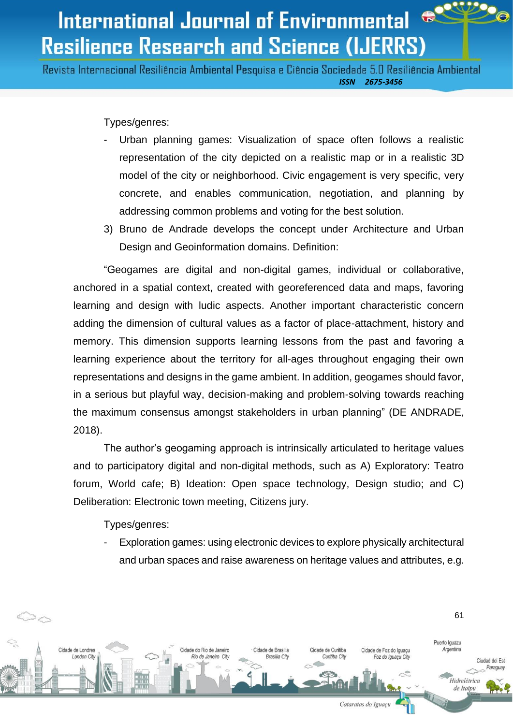Revista Internacional Resiliência Ambiental Pesquisa e Ciência Sociedade 5.0 Resiliência Ambiental *ISSN 2675-3456*

Types/genres:

- Urban planning games: Visualization of space often follows a realistic representation of the city depicted on a realistic map or in a realistic 3D model of the city or neighborhood. Civic engagement is very specific, very concrete, and enables communication, negotiation, and planning by addressing common problems and voting for the best solution.
- 3) Bruno de Andrade develops the concept under Architecture and Urban Design and Geoinformation domains. Definition:

"Geogames are digital and non-digital games, individual or collaborative, anchored in a spatial context, created with georeferenced data and maps, favoring learning and design with ludic aspects. Another important characteristic concern adding the dimension of cultural values as a factor of place-attachment, history and memory. This dimension supports learning lessons from the past and favoring a learning experience about the territory for all-ages throughout engaging their own representations and designs in the game ambient. In addition, geogames should favor, in a serious but playful way, decision-making and problem-solving towards reaching the maximum consensus amongst stakeholders in urban planning" (DE ANDRADE, 2018).

The author's geogaming approach is intrinsically articulated to heritage values and to participatory digital and non-digital methods, such as A) Exploratory: Teatro forum, World cafe; B) Ideation: Open space technology, Design studio; and C) Deliberation: Electronic town meeting, Citizens jury.

Types/genres:

Exploration games: using electronic devices to explore physically architectural and urban spaces and raise awareness on heritage values and attributes, e.g.

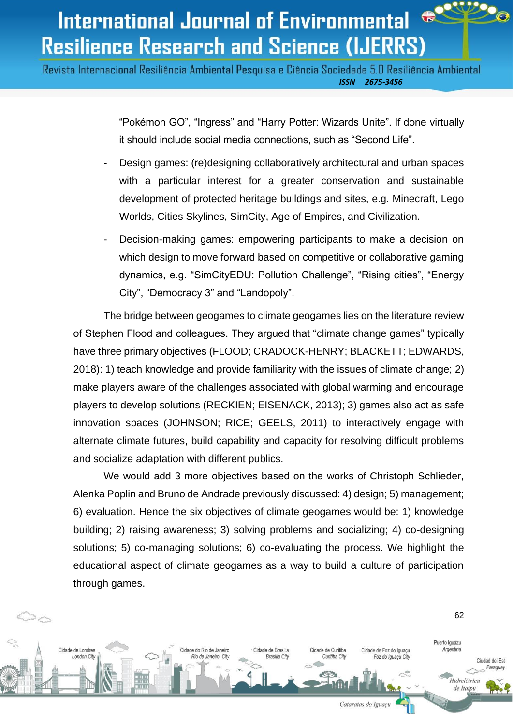

Revista Internacional Resiliência Ambiental Pesquisa e Ciência Sociedade 5.0 Resiliência Ambiental *ISSN 2675-3456*

> "Pokémon GO", "Ingress" and "Harry Potter: Wizards Unite". If done virtually it should include social media connections, such as "Second Life".

- Design games: (re)designing collaboratively architectural and urban spaces with a particular interest for a greater conservation and sustainable development of protected heritage buildings and sites, e.g. Minecraft, Lego Worlds, Cities Skylines, SimCity, Age of Empires, and Civilization.
- Decision-making games: empowering participants to make a decision on which design to move forward based on competitive or collaborative gaming dynamics, e.g. "SimCityEDU: Pollution Challenge", "Rising cities", "Energy City", "Democracy 3" and "Landopoly".

The bridge between geogames to climate geogames lies on the literature review of Stephen Flood and colleagues. They argued that "climate change games" typically have three primary objectives (FLOOD; CRADOCK-HENRY; BLACKETT; EDWARDS, 2018): 1) teach knowledge and provide familiarity with the issues of climate change; 2) make players aware of the challenges associated with global warming and encourage players to develop solutions (RECKIEN; EISENACK, 2013); 3) games also act as safe innovation spaces (JOHNSON; RICE; GEELS, 2011) to interactively engage with alternate climate futures, build capability and capacity for resolving difficult problems and socialize adaptation with different publics.

We would add 3 more objectives based on the works of Christoph Schlieder, Alenka Poplin and Bruno de Andrade previously discussed: 4) design; 5) management; 6) evaluation. Hence the six objectives of climate geogames would be: 1) knowledge building; 2) raising awareness; 3) solving problems and socializing; 4) co-designing solutions; 5) co-managing solutions; 6) co-evaluating the process. We highlight the educational aspect of climate geogames as a way to build a culture of participation through games.

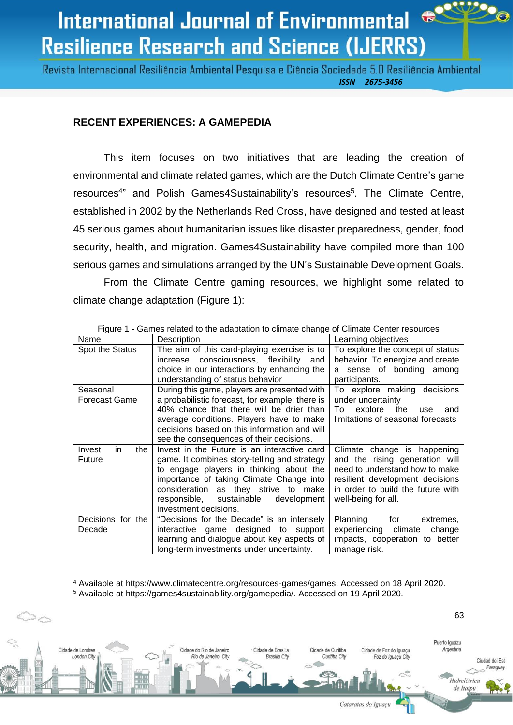Revista Internacional Resiliência Ambiental Pesquisa e Ciência Sociedade 5.0 Resiliência Ambiental *ISSN 2675-3456*

#### **RECENT EXPERIENCES: A GAMEPEDIA**

This item focuses on two initiatives that are leading the creation of environmental and climate related games, which are the Dutch Climate Centre's game resources<sup>4</sup> and Polish Games4Sustainability's resources<sup>5</sup>. The Climate Centre, established in 2002 by the Netherlands Red Cross, have designed and tested at least 45 serious games about humanitarian issues like disaster preparedness, gender, food security, health, and migration. Games4Sustainability have compiled more than 100 serious games and simulations arranged by the UN's Sustainable Development Goals.

From the Climate Centre gaming resources, we highlight some related to climate change adaptation (Figure 1):

| Name                             | $\sim$ 0.10 a.m. p. c. 10.11 . 10. 0.11.11.01.10 . 0.11.01.19<br>Description                                                                                                                                                                                                                | Learning objectives                                                                                                                                                                            |
|----------------------------------|---------------------------------------------------------------------------------------------------------------------------------------------------------------------------------------------------------------------------------------------------------------------------------------------|------------------------------------------------------------------------------------------------------------------------------------------------------------------------------------------------|
| Spot the Status                  | The aim of this card-playing exercise is to<br>increase consciousness, flexibility<br>and<br>choice in our interactions by enhancing the<br>understanding of status behavior                                                                                                                | To explore the concept of status<br>behavior. To energize and create<br>a sense of bonding among<br>participants.                                                                              |
| Seasonal<br><b>Forecast Game</b> | During this game, players are presented with<br>a probabilistic forecast, for example: there is<br>40% chance that there will be drier than<br>average conditions. Players have to make<br>decisions based on this information and will<br>see the consequences of their decisions.         | To explore making decisions<br>under uncertainty<br>explore<br>the<br>To<br>use<br>and<br>limitations of seasonal forecasts                                                                    |
| Invest<br>in<br>the<br>Future    | Invest in the Future is an interactive card<br>game. It combines story-telling and strategy<br>to engage players in thinking about the<br>importance of taking Climate Change into<br>consideration as they strive to make<br>responsible, sustainable development<br>investment decisions. | Climate change is happening<br>and the rising generation will<br>need to understand how to make<br>resilient development decisions<br>in order to build the future with<br>well-being for all. |
| Decisions for the<br>Decade      | "Decisions for the Decade" is an intensely<br>interactive game designed to support<br>learning and dialogue about key aspects of<br>long-term investments under uncertainty.                                                                                                                | Planning<br>for<br>extremes,<br>experiencing climate<br>change<br>impacts, cooperation to better<br>manage risk.                                                                               |

Figure 1 - Games related to the adaptation to climate change of Climate Center resources

<sup>4</sup> Available at [https://www.climatecentre.org/resources-games/games.](https://www.climatecentre.org/resources-games/games) Accessed on 18 April 2020.

<sup>5</sup> Available at [https://games4sustainability.org/gamepedia/.](https://games4sustainability.org/gamepedia/) Accessed on 19 April 2020.

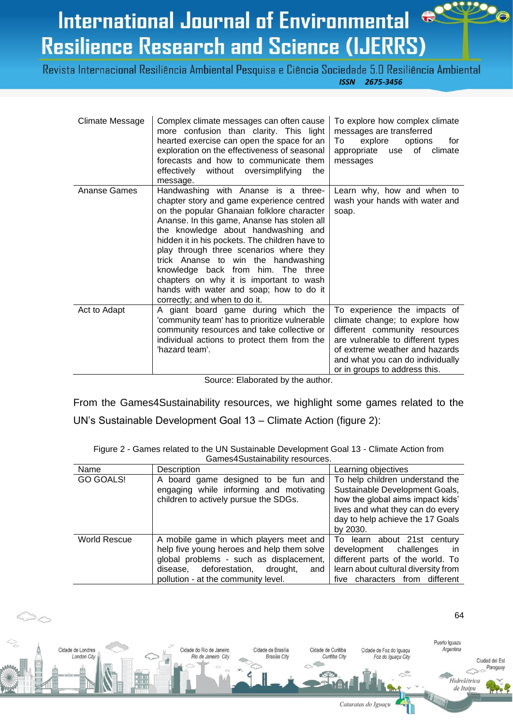Revista Internacional Resiliência Ambiental Pesquisa e Ciência Sociedade 5.0 Resiliência Ambiental *ISSN 2675-3456*

| Climate Message | Complex climate messages can often cause<br>more confusion than clarity. This light<br>hearted exercise can open the space for an<br>exploration on the effectiveness of seasonal<br>forecasts and how to communicate them<br>effectively without oversimplifying<br>the<br>message.                                                                                                                                                                                                                                  | To explore how complex climate<br>messages are transferred<br>explore<br>To<br>options<br>for<br>appropriate use<br>of climate<br>messages                                                                                                  |
|-----------------|-----------------------------------------------------------------------------------------------------------------------------------------------------------------------------------------------------------------------------------------------------------------------------------------------------------------------------------------------------------------------------------------------------------------------------------------------------------------------------------------------------------------------|---------------------------------------------------------------------------------------------------------------------------------------------------------------------------------------------------------------------------------------------|
| Ananse Games    | Handwashing with Ananse is a three-<br>chapter story and game experience centred<br>on the popular Ghanaian folklore character<br>Ananse. In this game, Ananse has stolen all<br>the knowledge about handwashing and<br>hidden it in his pockets. The children have to<br>play through three scenarios where they<br>trick Ananse to win the handwashing<br>knowledge back from him. The three<br>chapters on why it is important to wash<br>hands with water and soap; how to do it<br>correctly; and when to do it. | Learn why, how and when to<br>wash your hands with water and<br>soap.                                                                                                                                                                       |
| Act to Adapt    | A giant board game during which the<br>'community team' has to prioritize vulnerable<br>community resources and take collective or<br>individual actions to protect them from the<br>'hazard team'.                                                                                                                                                                                                                                                                                                                   | To experience the impacts of<br>climate change; to explore how<br>different community resources<br>are vulnerable to different types<br>of extreme weather and hazards<br>and what you can do individually<br>or in groups to address this. |

Source: Elaborated by the author.

From the Games4Sustainability resources, we highlight some games related to the UN's Sustainable Development Goal 13 – Climate Action (figure 2):

Figure 2 - Games related to the UN Sustainable Development Goal 13 - Climate Action from

| Games4Sustainability resources. |                                                                                                                                                                                                                       |                                                                                                                                                                                           |  |
|---------------------------------|-----------------------------------------------------------------------------------------------------------------------------------------------------------------------------------------------------------------------|-------------------------------------------------------------------------------------------------------------------------------------------------------------------------------------------|--|
| Name                            | Description                                                                                                                                                                                                           | Learning objectives                                                                                                                                                                       |  |
| GO GOALS!                       | A board game designed to be fun and<br>engaging while informing and motivating<br>children to actively pursue the SDGs.                                                                                               | To help children understand the<br>Sustainable Development Goals,<br>how the global aims impact kids'<br>lives and what they can do every<br>day to help achieve the 17 Goals<br>by 2030. |  |
| <b>World Rescue</b>             | A mobile game in which players meet and<br>help five young heroes and help them solve<br>global problems - such as displacement,<br>disease, deforestation,<br>drought.<br>and<br>pollution - at the community level. | To learn about 21st century<br>development challenges<br>- in<br>different parts of the world. To<br>learn about cultural diversity from<br>five characters from different                |  |

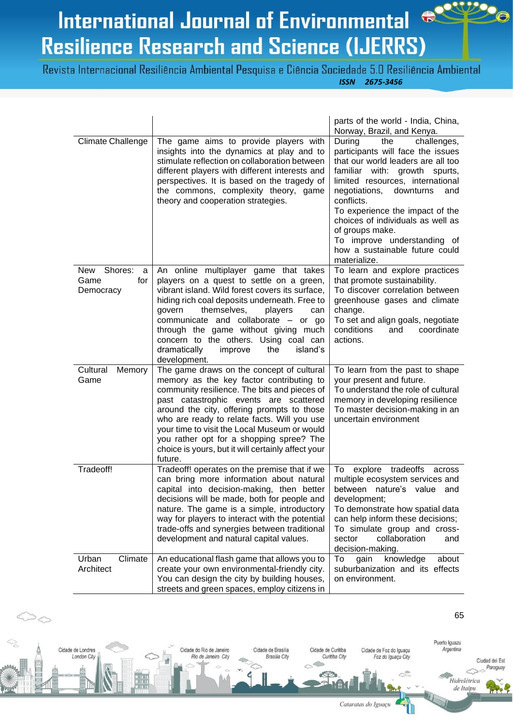Revista Internacional Resiliência Ambiental Pesquisa e Ciência Sociedade 5.0 Resiliência Ambiental *ISSN 2675-3456*

|                                                 |                                                                                                                                                                                                                                                                                                                                                                                                                                           | parts of the world - India, China,<br>Norway, Brazil, and Kenya.                                                                                                                                                                                                                                                                                                                                            |
|-------------------------------------------------|-------------------------------------------------------------------------------------------------------------------------------------------------------------------------------------------------------------------------------------------------------------------------------------------------------------------------------------------------------------------------------------------------------------------------------------------|-------------------------------------------------------------------------------------------------------------------------------------------------------------------------------------------------------------------------------------------------------------------------------------------------------------------------------------------------------------------------------------------------------------|
| Climate Challenge                               | The game aims to provide players with<br>insights into the dynamics at play and to<br>stimulate reflection on collaboration between<br>different players with different interests and<br>perspectives. It is based on the tragedy of<br>the commons, complexity theory, game<br>theory and cooperation strategies.                                                                                                                        | During<br>challenges,<br>the<br>participants will face the issues<br>that our world leaders are all too<br>familiar with: growth spurts,<br>limited resources, international<br>negotiations,<br>downturns<br>and<br>conflicts.<br>To experience the impact of the<br>choices of individuals as well as<br>of groups make.<br>To improve understanding of<br>how a sustainable future could<br>materialize. |
| Shores:<br>New<br>a<br>Game<br>for<br>Democracy | An online multiplayer game that takes<br>players on a quest to settle on a green,<br>vibrant island. Wild forest covers its surface,<br>hiding rich coal deposits underneath. Free to<br>themselves,<br>govern<br>players<br>can<br>communicate and collaborate -<br>or go<br>through the game without giving much<br>concern to the others. Using coal can<br>dramatically<br>island's<br>improve<br>the<br>development.                 | To learn and explore practices<br>that promote sustainability.<br>To discover correlation between<br>greenhouse gases and climate<br>change.<br>To set and align goals, negotiate<br>conditions<br>coordinate<br>and<br>actions.                                                                                                                                                                            |
| Cultural<br>Memory<br>Game                      | The game draws on the concept of cultural<br>memory as the key factor contributing to<br>community resilience. The bits and pieces of<br>past catastrophic events are scattered<br>around the city, offering prompts to those<br>who are ready to relate facts. Will you use<br>your time to visit the Local Museum or would<br>you rather opt for a shopping spree? The<br>choice is yours, but it will certainly affect your<br>future. | To learn from the past to shape<br>your present and future.<br>To understand the role of cultural<br>memory in developing resilience<br>To master decision-making in an<br>uncertain environment                                                                                                                                                                                                            |
| Tradeoff!                                       | Tradeoff! operates on the premise that if we<br>can bring more information about natural<br>capital into decision-making, then better<br>decisions will be made, both for people and<br>nature. The game is a simple, introductory<br>way for players to interact with the potential<br>trade-offs and synergies between traditional<br>development and natural capital values.                                                           | explore tradeoffs across<br>To<br>multiple ecosystem services and<br>between nature's value<br>and<br>development;<br>To demonstrate how spatial data<br>can help inform these decisions;<br>To simulate group and cross-<br>collaboration<br>sector<br>and<br>decision-making.                                                                                                                             |
| Climate<br>Urban<br>Architect                   | An educational flash game that allows you to<br>create your own environmental-friendly city.<br>You can design the city by building houses,<br>streets and green spaces, employ citizens in                                                                                                                                                                                                                                               | knowledge<br>To<br>about<br>gain<br>suburbanization and its effects<br>on environment.                                                                                                                                                                                                                                                                                                                      |

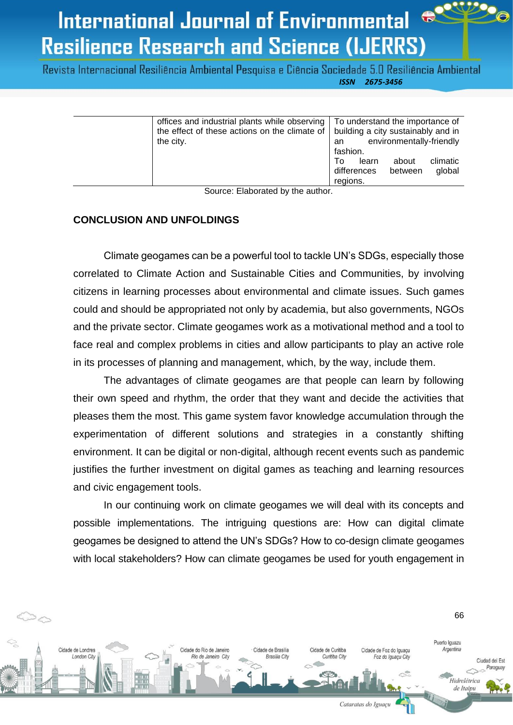Revista Internacional Resiliência Ambiental Pesquisa e Ciência Sociedade 5.0 Resiliência Ambiental *ISSN 2675-3456*

> offices and industrial plants while observing the effect of these actions on the climate of the city. fashion.

To understand the importance of building a city sustainably and in an environmentally-friendly To learn about climatic differences between global regions.

Source: Elaborated by the author.

#### **CONCLUSION AND UNFOLDINGS**

Climate geogames can be a powerful tool to tackle UN's SDGs, especially those correlated to Climate Action and Sustainable Cities and Communities, by involving citizens in learning processes about environmental and climate issues. Such games could and should be appropriated not only by academia, but also governments, NGOs and the private sector. Climate geogames work as a motivational method and a tool to face real and complex problems in cities and allow participants to play an active role in its processes of planning and management, which, by the way, include them.

The advantages of climate geogames are that people can learn by following their own speed and rhythm, the order that they want and decide the activities that pleases them the most. This game system favor knowledge accumulation through the experimentation of different solutions and strategies in a constantly shifting environment. It can be digital or non-digital, although recent events such as pandemic justifies the further investment on digital games as teaching and learning resources and civic engagement tools.

In our continuing work on climate geogames we will deal with its concepts and possible implementations. The intriguing questions are: How can digital climate geogames be designed to attend the UN's SDGs? How to co-design climate geogames with local stakeholders? How can climate geogames be used for youth engagement in

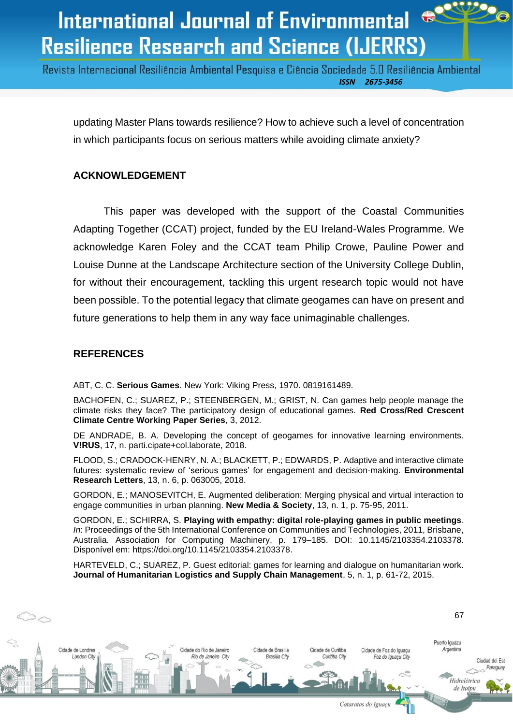Revista Internacional Resiliência Ambiental Pesquisa e Ciência Sociedade 5.0 Resiliência Ambiental *ISSN 2675-3456*

updating Master Plans towards resilience? How to achieve such a level of concentration in which participants focus on serious matters while avoiding climate anxiety?

#### **ACKNOWLEDGEMENT**

This paper was developed with the support of the Coastal Communities Adapting Together (CCAT) project, funded by the EU Ireland-Wales Programme. We acknowledge Karen Foley and the CCAT team Philip Crowe, Pauline Power and Louise Dunne at the Landscape Architecture section of the University College Dublin, for without their encouragement, tackling this urgent research topic would not have been possible. To the potential legacy that climate geogames can have on present and future generations to help them in any way face unimaginable challenges.

#### **REFERENCES**

ABT, C. C. **Serious Games**. New York: Viking Press, 1970. 0819161489.

BACHOFEN, C.; SUAREZ, P.; STEENBERGEN, M.; GRIST, N. Can games help people manage the climate risks they face? The participatory design of educational games. **Red Cross/Red Crescent Climate Centre Working Paper Series**, 3, 2012.

DE ANDRADE, B. A. Developing the concept of geogames for innovative learning environments. **V!RUS**, 17, n. parti.cipate+col.laborate, 2018.

FLOOD, S.; CRADOCK-HENRY, N. A.; BLACKETT, P.; EDWARDS, P. Adaptive and interactive climate futures: systematic review of 'serious games' for engagement and decision-making. **Environmental Research Letters**, 13, n. 6, p. 063005, 2018.

GORDON, E.; MANOSEVITCH, E. Augmented deliberation: Merging physical and virtual interaction to engage communities in urban planning. **New Media & Society**, 13, n. 1, p. 75-95, 2011.

GORDON, E.; SCHIRRA, S. **Playing with empathy: digital role-playing games in public meetings**. *In*: Proceedings of the 5th International Conference on Communities and Technologies, 2011, Brisbane, Australia. Association for Computing Machinery, p. 179–185. DOI: 10.1145/2103354.2103378. Disponível em: [https://doi.org/10.1145/2103354.2103378.](https://doi.org/10.1145/2103354.2103378)

HARTEVELD, C.; SUAREZ, P. Guest editorial: games for learning and dialogue on humanitarian work. **Journal of Humanitarian Logistics and Supply Chain Management**, 5, n. 1, p. 61-72, 2015.